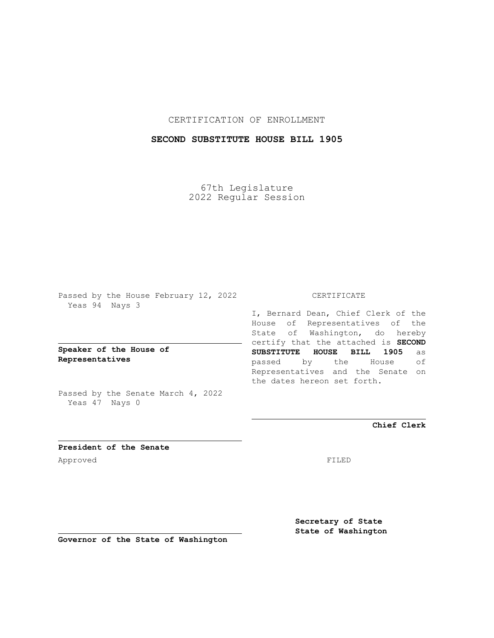### CERTIFICATION OF ENROLLMENT

## **SECOND SUBSTITUTE HOUSE BILL 1905**

67th Legislature 2022 Regular Session

Passed by the House February 12, 2022 Yeas 94 Nays 3

**Speaker of the House of Representatives**

Passed by the Senate March 4, 2022 Yeas 47 Nays 0

#### CERTIFICATE

I, Bernard Dean, Chief Clerk of the House of Representatives of the State of Washington, do hereby certify that the attached is **SECOND SUBSTITUTE HOUSE BILL 1905** as passed by the House of Representatives and the Senate on the dates hereon set forth.

**Chief Clerk**

**President of the Senate** Approved FILED

**Secretary of State State of Washington**

**Governor of the State of Washington**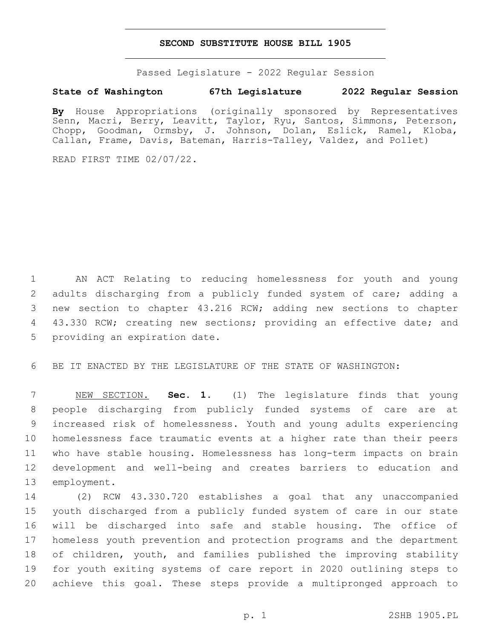#### **SECOND SUBSTITUTE HOUSE BILL 1905**

Passed Legislature - 2022 Regular Session

# **State of Washington 67th Legislature 2022 Regular Session**

**By** House Appropriations (originally sponsored by Representatives Senn, Macri, Berry, Leavitt, Taylor, Ryu, Santos, Simmons, Peterson, Chopp, Goodman, Ormsby, J. Johnson, Dolan, Eslick, Ramel, Kloba, Callan, Frame, Davis, Bateman, Harris-Talley, Valdez, and Pollet)

READ FIRST TIME 02/07/22.

1 AN ACT Relating to reducing homelessness for youth and young 2 adults discharging from a publicly funded system of care; adding a 3 new section to chapter 43.216 RCW; adding new sections to chapter 4 43.330 RCW; creating new sections; providing an effective date; and 5 providing an expiration date.

6 BE IT ENACTED BY THE LEGISLATURE OF THE STATE OF WASHINGTON:

 NEW SECTION. **Sec. 1.** (1) The legislature finds that young people discharging from publicly funded systems of care are at increased risk of homelessness. Youth and young adults experiencing homelessness face traumatic events at a higher rate than their peers who have stable housing. Homelessness has long-term impacts on brain development and well-being and creates barriers to education and employment.

 (2) RCW 43.330.720 establishes a goal that any unaccompanied youth discharged from a publicly funded system of care in our state will be discharged into safe and stable housing. The office of homeless youth prevention and protection programs and the department of children, youth, and families published the improving stability for youth exiting systems of care report in 2020 outlining steps to achieve this goal. These steps provide a multipronged approach to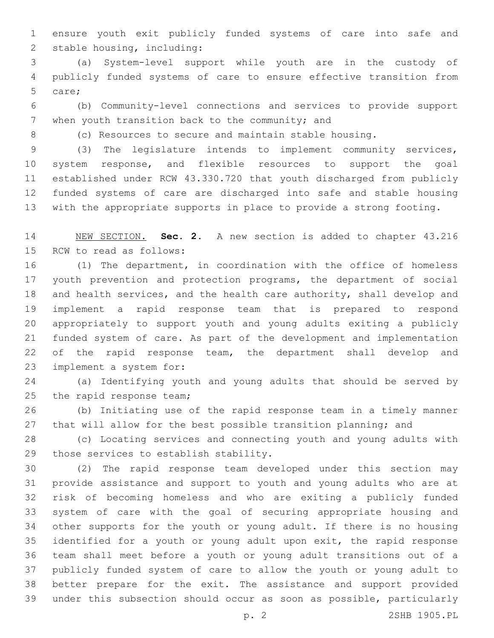ensure youth exit publicly funded systems of care into safe and 2 stable housing, including:

 (a) System-level support while youth are in the custody of publicly funded systems of care to ensure effective transition from 5 care;

 (b) Community-level connections and services to provide support 7 when youth transition back to the community; and

(c) Resources to secure and maintain stable housing.

 (3) The legislature intends to implement community services, system response, and flexible resources to support the goal established under RCW 43.330.720 that youth discharged from publicly funded systems of care are discharged into safe and stable housing with the appropriate supports in place to provide a strong footing.

 NEW SECTION. **Sec. 2.** A new section is added to chapter 43.216 15 RCW to read as follows:

 (1) The department, in coordination with the office of homeless youth prevention and protection programs, the department of social and health services, and the health care authority, shall develop and implement a rapid response team that is prepared to respond appropriately to support youth and young adults exiting a publicly funded system of care. As part of the development and implementation 22 of the rapid response team, the department shall develop and 23 implement a system for:

 (a) Identifying youth and young adults that should be served by 25 the rapid response team;

 (b) Initiating use of the rapid response team in a timely manner 27 that will allow for the best possible transition planning; and

 (c) Locating services and connecting youth and young adults with 29 those services to establish stability.

 (2) The rapid response team developed under this section may provide assistance and support to youth and young adults who are at risk of becoming homeless and who are exiting a publicly funded system of care with the goal of securing appropriate housing and other supports for the youth or young adult. If there is no housing identified for a youth or young adult upon exit, the rapid response team shall meet before a youth or young adult transitions out of a publicly funded system of care to allow the youth or young adult to better prepare for the exit. The assistance and support provided under this subsection should occur as soon as possible, particularly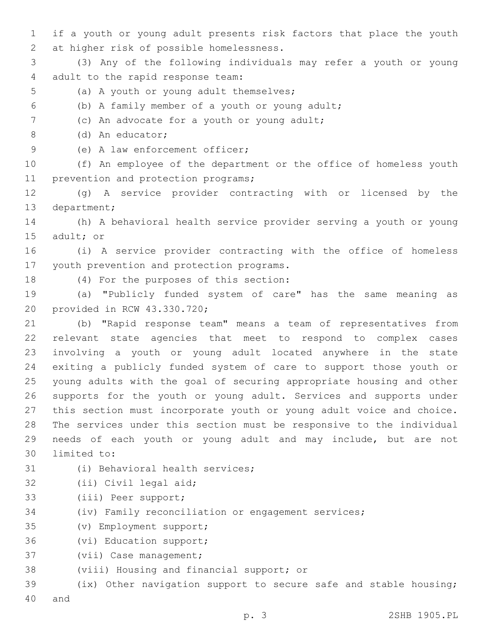1 if a youth or young adult presents risk factors that place the youth 2 at higher risk of possible homelessness.

3 (3) Any of the following individuals may refer a youth or young 4 adult to the rapid response team:

- 5 (a) A youth or young adult themselves;
- (b) A family member of a youth or young adult;6

7 (c) An advocate for a youth or young adult;

(d) An educator;8

9 (e) A law enforcement officer;

10 (f) An employee of the department or the office of homeless youth 11 prevention and protection programs;

12 (g) A service provider contracting with or licensed by the 13 department;

14 (h) A behavioral health service provider serving a youth or young 15 adult; or

16 (i) A service provider contracting with the office of homeless 17 youth prevention and protection programs.

18 (4) For the purposes of this section:

19 (a) "Publicly funded system of care" has the same meaning as 20 provided in RCW 43.330.720;

 (b) "Rapid response team" means a team of representatives from relevant state agencies that meet to respond to complex cases involving a youth or young adult located anywhere in the state exiting a publicly funded system of care to support those youth or young adults with the goal of securing appropriate housing and other supports for the youth or young adult. Services and supports under this section must incorporate youth or young adult voice and choice. The services under this section must be responsive to the individual needs of each youth or young adult and may include, but are not 30 limited to:

- 31 (i) Behavioral health services;
- 32 (ii) Civil legal aid;
- 33 (iii) Peer support;
- 34 (iv) Family reconciliation or engagement services;
- (v) Employment support;35
- 36 (vi) Education support;
- 37 (vii) Case management;
- 38 (viii) Housing and financial support; or

39 (ix) Other navigation support to secure safe and stable housing; 40 and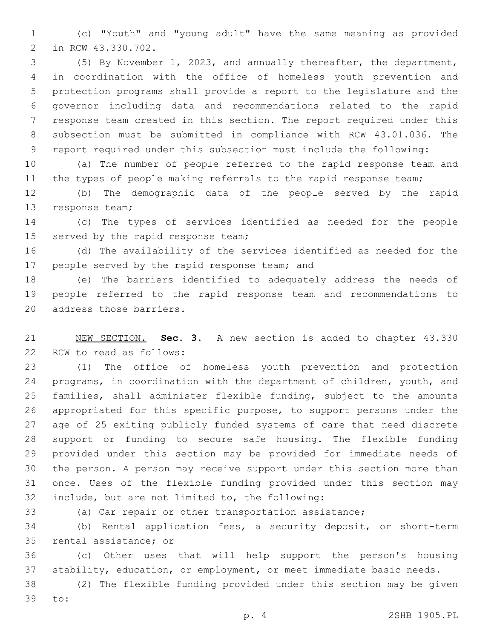(c) "Youth" and "young adult" have the same meaning as provided 2 in RCW 43.330.702.

 (5) By November 1, 2023, and annually thereafter, the department, in coordination with the office of homeless youth prevention and protection programs shall provide a report to the legislature and the governor including data and recommendations related to the rapid response team created in this section. The report required under this subsection must be submitted in compliance with RCW 43.01.036. The report required under this subsection must include the following:

 (a) The number of people referred to the rapid response team and 11 the types of people making referrals to the rapid response team;

 (b) The demographic data of the people served by the rapid 13 response team;

 (c) The types of services identified as needed for the people 15 served by the rapid response team;

 (d) The availability of the services identified as needed for the 17 people served by the rapid response team; and

 (e) The barriers identified to adequately address the needs of people referred to the rapid response team and recommendations to 20 address those barriers.

 NEW SECTION. **Sec. 3.** A new section is added to chapter 43.330 22 RCW to read as follows:

 (1) The office of homeless youth prevention and protection programs, in coordination with the department of children, youth, and families, shall administer flexible funding, subject to the amounts appropriated for this specific purpose, to support persons under the age of 25 exiting publicly funded systems of care that need discrete support or funding to secure safe housing. The flexible funding provided under this section may be provided for immediate needs of the person. A person may receive support under this section more than once. Uses of the flexible funding provided under this section may 32 include, but are not limited to, the following:

(a) Car repair or other transportation assistance;

 (b) Rental application fees, a security deposit, or short-term 35 rental assistance; or

 (c) Other uses that will help support the person's housing stability, education, or employment, or meet immediate basic needs.

 (2) The flexible funding provided under this section may be given 39 to: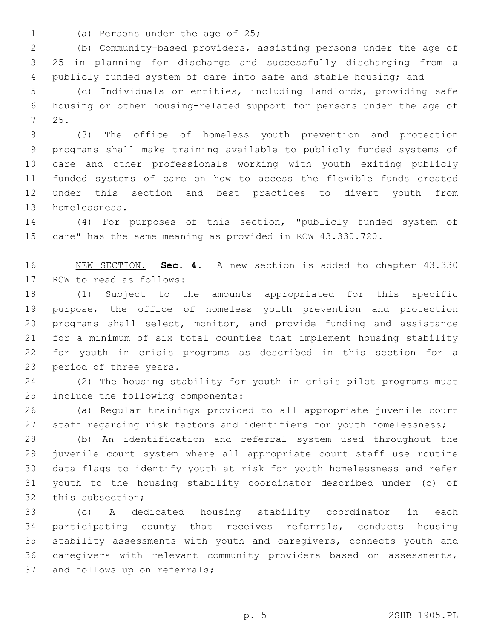- 
- 1 (a) Persons under the age of 25;

 (b) Community-based providers, assisting persons under the age of 25 in planning for discharge and successfully discharging from a publicly funded system of care into safe and stable housing; and

 (c) Individuals or entities, including landlords, providing safe housing or other housing-related support for persons under the age of 25.7

 (3) The office of homeless youth prevention and protection programs shall make training available to publicly funded systems of care and other professionals working with youth exiting publicly funded systems of care on how to access the flexible funds created under this section and best practices to divert youth from 13 homelessness.

 (4) For purposes of this section, "publicly funded system of care" has the same meaning as provided in RCW 43.330.720.

 NEW SECTION. **Sec. 4.** A new section is added to chapter 43.330 17 RCW to read as follows:

 (1) Subject to the amounts appropriated for this specific purpose, the office of homeless youth prevention and protection programs shall select, monitor, and provide funding and assistance for a minimum of six total counties that implement housing stability for youth in crisis programs as described in this section for a 23 period of three years.

 (2) The housing stability for youth in crisis pilot programs must 25 include the following components:

 (a) Regular trainings provided to all appropriate juvenile court 27 staff regarding risk factors and identifiers for youth homelessness;

 (b) An identification and referral system used throughout the juvenile court system where all appropriate court staff use routine data flags to identify youth at risk for youth homelessness and refer youth to the housing stability coordinator described under (c) of 32 this subsection;

 (c) A dedicated housing stability coordinator in each participating county that receives referrals, conducts housing stability assessments with youth and caregivers, connects youth and caregivers with relevant community providers based on assessments, 37 and follows up on referrals;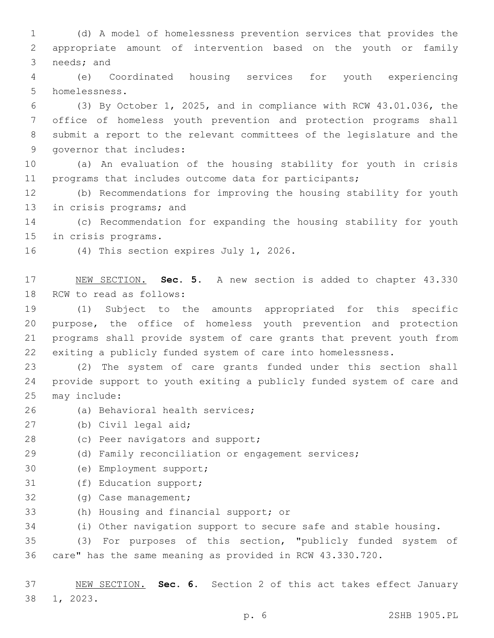1 (d) A model of homelessness prevention services that provides the 2 appropriate amount of intervention based on the youth or family 3 needs; and

4 (e) Coordinated housing services for youth experiencing 5 homelessness.

 (3) By October 1, 2025, and in compliance with RCW 43.01.036, the office of homeless youth prevention and protection programs shall submit a report to the relevant committees of the legislature and the 9 governor that includes:

10 (a) An evaluation of the housing stability for youth in crisis 11 programs that includes outcome data for participants;

12 (b) Recommendations for improving the housing stability for youth 13 in crisis programs; and

14 (c) Recommendation for expanding the housing stability for youth 15 in crisis programs.

16 (4) This section expires July 1, 2026.

17 NEW SECTION. **Sec. 5.** A new section is added to chapter 43.330 18 RCW to read as follows:

 (1) Subject to the amounts appropriated for this specific purpose, the office of homeless youth prevention and protection programs shall provide system of care grants that prevent youth from exiting a publicly funded system of care into homelessness.

23 (2) The system of care grants funded under this section shall 24 provide support to youth exiting a publicly funded system of care and 25 may include:

- 26 (a) Behavioral health services;
- 27 (b) Civil legal aid;
- 28 (c) Peer navigators and support;
- 29 (d) Family reconciliation or engagement services;
- 30 (e) Employment support;
- 31 (f) Education support;
- 32 (g) Case management;
- 33 (h) Housing and financial support; or

34 (i) Other navigation support to secure safe and stable housing.

35 (3) For purposes of this section, "publicly funded system of 36 care" has the same meaning as provided in RCW 43.330.720.

37 NEW SECTION. **Sec. 6.** Section 2 of this act takes effect January 38 1, 2023.